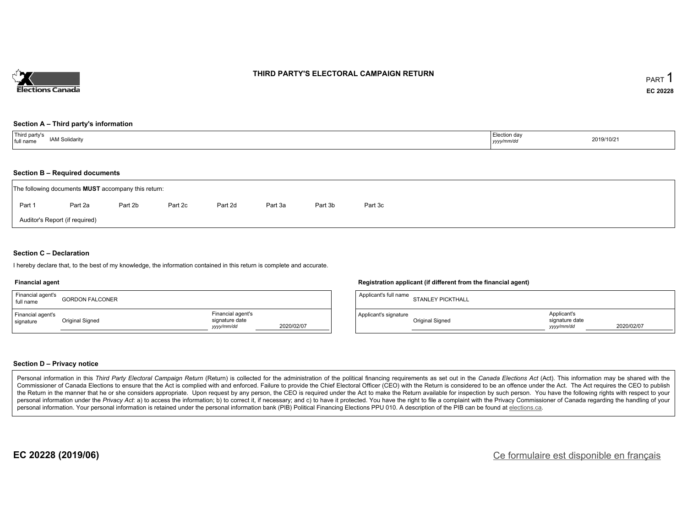

### **THIRD PARTY'S ELECTORAL CAMPAIGN RETURN**

#### **Section A – Third party's information**

| Third party's<br><b>IAM Solidarity</b><br>full name | Election day<br>yyyy/mm/dr <sup>i</sup> | 2019/10/21 |
|-----------------------------------------------------|-----------------------------------------|------------|
|-----------------------------------------------------|-----------------------------------------|------------|

#### **Section B – Required documents**

|        | The following documents <b>MUST</b> accompany this return: |         |         |         |         |         |         |  |  |  |  |  |
|--------|------------------------------------------------------------|---------|---------|---------|---------|---------|---------|--|--|--|--|--|
| Part 1 | Part 2a                                                    | Part 2b | Part 2c | Part 2d | Part 3a | Part 3b | Part 3c |  |  |  |  |  |
|        | Auditor's Report (if required)                             |         |         |         |         |         |         |  |  |  |  |  |

#### **Section C – Declaration**

I hereby declare that, to the best of my knowledge, the information contained in this return is complete and accurate.

#### **Financial agent**

| Financial agent's<br>full name | <b>GORDON FALCONER</b> |                                                   |            | Applicant's full name | <b>STANLEY PICKTHALL</b> |                                             |            |
|--------------------------------|------------------------|---------------------------------------------------|------------|-----------------------|--------------------------|---------------------------------------------|------------|
| Financial agent's<br>signature | <b>Original Signed</b> | Financial agent's<br>signature date<br>yyyy/mm/dd | 2020/02/07 | Applicant's signature | <b>Original Signed</b>   | Applicant's<br>signature date<br>yyyy/mm/dd | 2020/02/07 |

#### **Section D – Privacy notice**

Personal information in this Third Party Electoral Campaign Return (Return) is collected for the administration of the political financing requirements as set out in the Canada Elections Act (Act). This information may be Commissioner of Canada Elections to ensure that the Act is complied with and enforced. Failure to provide the Chief Electoral Officer (CEO) with the Return is considered to be an offence under the Act. The Act requires the the Return in the manner that he or she considers appropriate. Upon request by any person, the CEO is required under the Act to make the Return available for inspection by such person. You have the following rights with re personal information under the Privacy Act: a) to access the information; b) to correct it, if necessary; and c) to have it protected. You have the right to file a complaint with the Privacy Commissioner of Canada regardin personal information. Your personal information is retained under the personal information bank (PIB) Political Financing Elections PPU 010. A description of the PIB can be found at elections.ca.

**Registration applicant (if different from the financial agent)**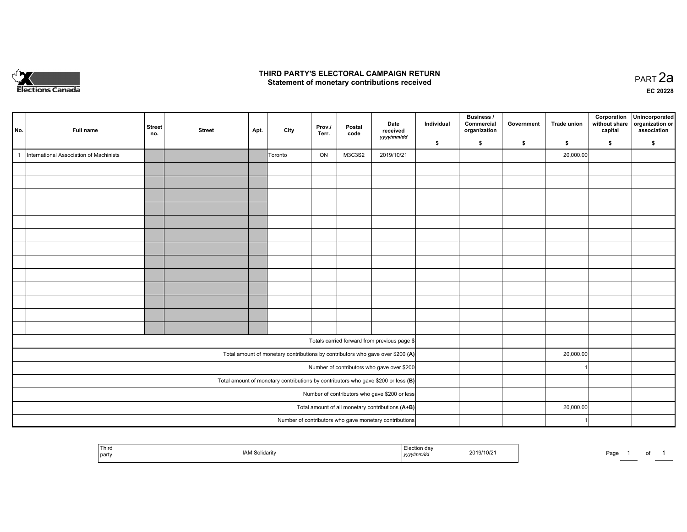

## **THIRD PARTY'S ELECTORAL CAMPAIGN RETURN HIRD PARTY'S ELECTORAL CAMPAIGN RETURN<br>Statement of monetary contributions received PART 2a PART 2a**

**EC 20228**

| No.          | Full name                               | <b>Street</b><br>no.                                                                | <b>Street</b> | Apt. | City      | Prov./<br>Terr. | Postal<br>code | Date<br>received<br>yyyy/mm/dd                                                 | Individual | Business /<br>Commercial<br>organization | Government | Trade union | Corporation<br>without share<br>capital | Unincorporated<br>organization or<br>association |
|--------------|-----------------------------------------|-------------------------------------------------------------------------------------|---------------|------|-----------|-----------------|----------------|--------------------------------------------------------------------------------|------------|------------------------------------------|------------|-------------|-----------------------------------------|--------------------------------------------------|
|              |                                         |                                                                                     |               |      |           |                 |                |                                                                                | \$         | \$                                       | \$         | \$          | \$                                      | \$                                               |
| $\mathbf{1}$ | International Association of Machinists |                                                                                     |               |      | Toronto   | ON              | M3C3S2         | 2019/10/21                                                                     |            |                                          |            | 20,000.00   |                                         |                                                  |
|              |                                         |                                                                                     |               |      |           |                 |                |                                                                                |            |                                          |            |             |                                         |                                                  |
|              |                                         |                                                                                     |               |      |           |                 |                |                                                                                |            |                                          |            |             |                                         |                                                  |
|              |                                         |                                                                                     |               |      |           |                 |                |                                                                                |            |                                          |            |             |                                         |                                                  |
|              |                                         |                                                                                     |               |      |           |                 |                |                                                                                |            |                                          |            |             |                                         |                                                  |
|              |                                         |                                                                                     |               |      |           |                 |                |                                                                                |            |                                          |            |             |                                         |                                                  |
|              |                                         |                                                                                     |               |      |           |                 |                |                                                                                |            |                                          |            |             |                                         |                                                  |
|              |                                         |                                                                                     |               |      |           |                 |                |                                                                                |            |                                          |            |             |                                         |                                                  |
|              |                                         |                                                                                     |               |      |           |                 |                |                                                                                |            |                                          |            |             |                                         |                                                  |
|              |                                         |                                                                                     |               |      |           |                 |                |                                                                                |            |                                          |            |             |                                         |                                                  |
|              |                                         |                                                                                     |               |      |           |                 |                |                                                                                |            |                                          |            |             |                                         |                                                  |
|              |                                         |                                                                                     |               |      |           |                 |                |                                                                                |            |                                          |            |             |                                         |                                                  |
|              |                                         |                                                                                     |               |      |           |                 |                |                                                                                |            |                                          |            |             |                                         |                                                  |
|              |                                         |                                                                                     |               |      |           |                 |                |                                                                                |            |                                          |            |             |                                         |                                                  |
|              |                                         |                                                                                     |               |      |           |                 |                | Totals carried forward from previous page \$                                   |            |                                          |            |             |                                         |                                                  |
|              |                                         |                                                                                     |               |      |           |                 |                | Total amount of monetary contributions by contributors who gave over \$200 (A) |            |                                          |            | 20,000.00   |                                         |                                                  |
|              |                                         | Number of contributors who gave over \$200                                          |               |      |           |                 |                |                                                                                |            |                                          |            |             |                                         |                                                  |
|              |                                         | Total amount of monetary contributions by contributors who gave \$200 or less $(B)$ |               |      |           |                 |                |                                                                                |            |                                          |            |             |                                         |                                                  |
|              |                                         | Number of contributors who gave \$200 or less                                       |               |      |           |                 |                |                                                                                |            |                                          |            |             |                                         |                                                  |
|              |                                         | Total amount of all monetary contributions (A+B)                                    |               |      | 20,000.00 |                 |                |                                                                                |            |                                          |            |             |                                         |                                                  |
|              |                                         |                                                                                     |               |      |           |                 |                | Number of contributors who gave monetary contributions                         |            |                                          |            |             |                                         |                                                  |

|  | ' Third<br>  party | <b>IAM Solidarity</b><br>. | etion da∨.<br>,,,,, | 2019/10/21 | Page |  | ັ |  |
|--|--------------------|----------------------------|---------------------|------------|------|--|---|--|
|--|--------------------|----------------------------|---------------------|------------|------|--|---|--|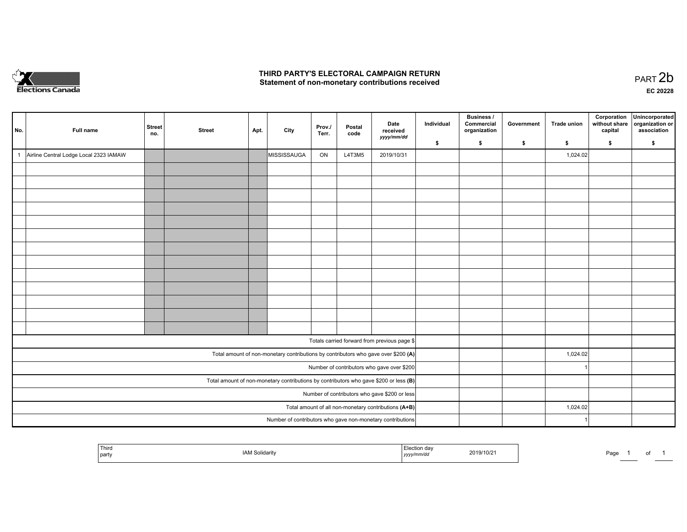

## **THIRD PARTY'S ELECTORAL CAMPAIGN RETURN**  THIRD PARTY'S ELECTORAL CAMPAIGN RETURN<br>Statement of non-monetary contributions received

| No.                                                                                     | Full name                              | <b>Street</b><br>no. | <b>Street</b>                                        | Apt. | City                                                                               | Prov.<br>Terr. | Postal<br>code | Date<br>received<br>yyyy/mm/dd               | Individual | <b>Business /</b><br>Commercial<br>organization | Government | <b>Trade union</b> | Corporation<br>without share<br>capital | Unincorporated<br>organization or<br>association |
|-----------------------------------------------------------------------------------------|----------------------------------------|----------------------|------------------------------------------------------|------|------------------------------------------------------------------------------------|----------------|----------------|----------------------------------------------|------------|-------------------------------------------------|------------|--------------------|-----------------------------------------|--------------------------------------------------|
|                                                                                         |                                        |                      |                                                      |      |                                                                                    |                |                |                                              | \$         | \$                                              | \$         | \$                 | \$                                      | \$                                               |
| $\mathbf{1}$                                                                            | Airline Central Lodge Local 2323 IAMAW |                      |                                                      |      | MISSISSAUGA                                                                        | ON             | L4T3M5         | 2019/10/31                                   |            |                                                 |            | 1,024.02           |                                         |                                                  |
|                                                                                         |                                        |                      |                                                      |      |                                                                                    |                |                |                                              |            |                                                 |            |                    |                                         |                                                  |
|                                                                                         |                                        |                      |                                                      |      |                                                                                    |                |                |                                              |            |                                                 |            |                    |                                         |                                                  |
|                                                                                         |                                        |                      |                                                      |      |                                                                                    |                |                |                                              |            |                                                 |            |                    |                                         |                                                  |
|                                                                                         |                                        |                      |                                                      |      |                                                                                    |                |                |                                              |            |                                                 |            |                    |                                         |                                                  |
|                                                                                         |                                        |                      |                                                      |      |                                                                                    |                |                |                                              |            |                                                 |            |                    |                                         |                                                  |
|                                                                                         |                                        |                      |                                                      |      |                                                                                    |                |                |                                              |            |                                                 |            |                    |                                         |                                                  |
|                                                                                         |                                        |                      |                                                      |      |                                                                                    |                |                |                                              |            |                                                 |            |                    |                                         |                                                  |
|                                                                                         |                                        |                      |                                                      |      |                                                                                    |                |                |                                              |            |                                                 |            |                    |                                         |                                                  |
|                                                                                         |                                        |                      |                                                      |      |                                                                                    |                |                |                                              |            |                                                 |            |                    |                                         |                                                  |
|                                                                                         |                                        |                      |                                                      |      |                                                                                    |                |                |                                              |            |                                                 |            |                    |                                         |                                                  |
|                                                                                         |                                        |                      |                                                      |      |                                                                                    |                |                |                                              |            |                                                 |            |                    |                                         |                                                  |
|                                                                                         |                                        |                      |                                                      |      |                                                                                    |                |                |                                              |            |                                                 |            |                    |                                         |                                                  |
|                                                                                         |                                        |                      |                                                      |      |                                                                                    |                |                |                                              |            |                                                 |            |                    |                                         |                                                  |
|                                                                                         |                                        |                      |                                                      |      |                                                                                    |                |                | Totals carried forward from previous page \$ |            |                                                 |            |                    |                                         |                                                  |
|                                                                                         |                                        |                      |                                                      |      | Total amount of non-monetary contributions by contributors who gave over \$200 (A) |                |                |                                              |            |                                                 |            | 1,024.02           |                                         |                                                  |
|                                                                                         |                                        |                      |                                                      |      |                                                                                    |                |                | Number of contributors who gave over \$200   |            |                                                 |            |                    |                                         |                                                  |
| Total amount of non-monetary contributions by contributors who gave \$200 or less $(B)$ |                                        |                      |                                                      |      |                                                                                    |                |                |                                              |            |                                                 |            |                    |                                         |                                                  |
| Number of contributors who gave \$200 or less                                           |                                        |                      |                                                      |      |                                                                                    |                |                |                                              |            |                                                 |            |                    |                                         |                                                  |
|                                                                                         |                                        |                      | Total amount of all non-monetary contributions (A+B) |      |                                                                                    |                | 1,024.02       |                                              |            |                                                 |            |                    |                                         |                                                  |
|                                                                                         |                                        |                      |                                                      |      | Number of contributors who gave non-monetary contributions                         |                |                |                                              |            |                                                 |            |                    |                                         |                                                  |
|                                                                                         |                                        |                      |                                                      |      |                                                                                    |                |                |                                              |            |                                                 |            |                    |                                         |                                                  |

| ' Third<br>u<br>2019/10/21<br><b>AM Solidarity</b><br>  party<br>yyyymm⁄aa | the property of the control of the<br>Dooo<br>ʻaye |
|----------------------------------------------------------------------------|----------------------------------------------------|
|----------------------------------------------------------------------------|----------------------------------------------------|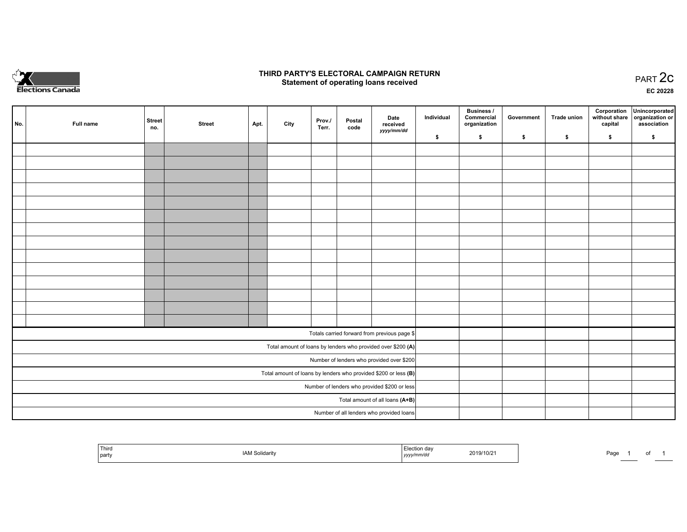

## **THIRD PARTY'S ELECTORAL CAMPAIGN RETURN STATE:** PRACT OF OPPRESS TO PART 2C STATE STATE STATE STATE STATE STATE STATE STATE STATE STATE STATE STATE STA<br>PART 2C Statement of operating loans received

**EC 20228**

| No. | Full name | <b>Street</b><br>no. | <b>Street</b> | Apt. | City | Prov./<br>Terr. | Postal<br>code | Date<br>received                                                | Individual | <b>Business /</b><br>Commercial<br>organization | Government | <b>Trade union</b> | Corporation<br>capital | Unincorporated<br>without share organization or<br>association |
|-----|-----------|----------------------|---------------|------|------|-----------------|----------------|-----------------------------------------------------------------|------------|-------------------------------------------------|------------|--------------------|------------------------|----------------------------------------------------------------|
|     |           |                      |               |      |      |                 |                | yyyy/mm/dd                                                      | \$         | \$                                              | \$         | \$                 | \$                     | \$                                                             |
|     |           |                      |               |      |      |                 |                |                                                                 |            |                                                 |            |                    |                        |                                                                |
|     |           |                      |               |      |      |                 |                |                                                                 |            |                                                 |            |                    |                        |                                                                |
|     |           |                      |               |      |      |                 |                |                                                                 |            |                                                 |            |                    |                        |                                                                |
|     |           |                      |               |      |      |                 |                |                                                                 |            |                                                 |            |                    |                        |                                                                |
|     |           |                      |               |      |      |                 |                |                                                                 |            |                                                 |            |                    |                        |                                                                |
|     |           |                      |               |      |      |                 |                |                                                                 |            |                                                 |            |                    |                        |                                                                |
|     |           |                      |               |      |      |                 |                |                                                                 |            |                                                 |            |                    |                        |                                                                |
|     |           |                      |               |      |      |                 |                |                                                                 |            |                                                 |            |                    |                        |                                                                |
|     |           |                      |               |      |      |                 |                |                                                                 |            |                                                 |            |                    |                        |                                                                |
|     |           |                      |               |      |      |                 |                |                                                                 |            |                                                 |            |                    |                        |                                                                |
|     |           |                      |               |      |      |                 |                |                                                                 |            |                                                 |            |                    |                        |                                                                |
|     |           |                      |               |      |      |                 |                |                                                                 |            |                                                 |            |                    |                        |                                                                |
|     |           |                      |               |      |      |                 |                |                                                                 |            |                                                 |            |                    |                        |                                                                |
|     |           |                      |               |      |      |                 |                |                                                                 |            |                                                 |            |                    |                        |                                                                |
|     |           |                      |               |      |      |                 |                | Totals carried forward from previous page \$                    |            |                                                 |            |                    |                        |                                                                |
|     |           |                      |               |      |      |                 |                | Total amount of loans by lenders who provided over \$200 (A)    |            |                                                 |            |                    |                        |                                                                |
|     |           |                      |               |      |      |                 |                | Number of lenders who provided over \$200                       |            |                                                 |            |                    |                        |                                                                |
|     |           |                      |               |      |      |                 |                | Total amount of loans by lenders who provided \$200 or less (B) |            |                                                 |            |                    |                        |                                                                |
|     |           |                      |               |      |      |                 |                | Number of lenders who provided \$200 or less                    |            |                                                 |            |                    |                        |                                                                |
|     |           |                      |               |      |      |                 |                | Total amount of all loans (A+B)                                 |            |                                                 |            |                    |                        |                                                                |
|     |           |                      |               |      |      |                 |                | Number of all lenders who provided loans                        |            |                                                 |            |                    |                        |                                                                |

| Third<br>Solidarit<br>' partv | JII Ud V<br>2019/10/2<br>,,,,, | Page<br>. |
|-------------------------------|--------------------------------|-----------|
|-------------------------------|--------------------------------|-----------|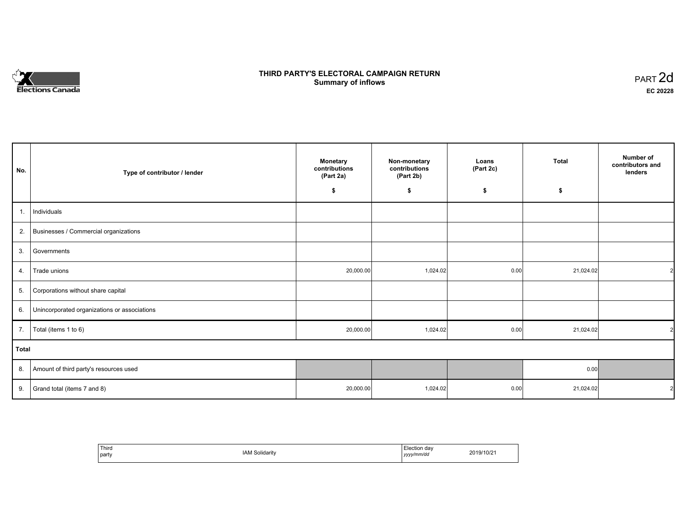# **Elections Canada**

# **THIRD PARTY'S ELECTORAL CAMPAIGN RETURN Summary of inflows**

| PART <sub>2d</sub> |  |
|--------------------|--|
| EC 20228           |  |

| No.          | Type of contributor / lender                 | <b>Monetary</b><br>Non-monetary<br>contributions<br>contributions<br>(Part 2b)<br>(Part 2a) |          | Loans<br>(Part 2c) | <b>Total</b> | Number of<br>contributors and<br>lenders |
|--------------|----------------------------------------------|---------------------------------------------------------------------------------------------|----------|--------------------|--------------|------------------------------------------|
|              |                                              | \$                                                                                          | \$       | \$                 | \$           |                                          |
| 1.           | Individuals                                  |                                                                                             |          |                    |              |                                          |
| 2.           | Businesses / Commercial organizations        |                                                                                             |          |                    |              |                                          |
| 3.           | Governments                                  |                                                                                             |          |                    |              |                                          |
| 4.           | Trade unions                                 | 20,000.00                                                                                   | 1,024.02 | 0.00               | 21,024.02    | $\mathcal{P}$                            |
| 5.           | Corporations without share capital           |                                                                                             |          |                    |              |                                          |
| 6.           | Unincorporated organizations or associations |                                                                                             |          |                    |              |                                          |
| 7.           | Total (items 1 to 6)                         | 20,000.00                                                                                   | 1,024.02 | 0.00               | 21,024.02    | $\mathcal{P}$                            |
| <b>Total</b> |                                              |                                                                                             |          |                    |              |                                          |
| 8.           | Amount of third party's resources used       |                                                                                             |          |                    | 0.00         |                                          |
| 9.           | Grand total (items 7 and 8)                  | 20,000.00                                                                                   | 1,024.02 | 0.00               | 21,024.02    | $\mathcal{P}$                            |

| Third<br>party | <b>IAM Solidarity</b> | Election dav<br>yyyy/mm/dd | 2019/10/21 |
|----------------|-----------------------|----------------------------|------------|
|----------------|-----------------------|----------------------------|------------|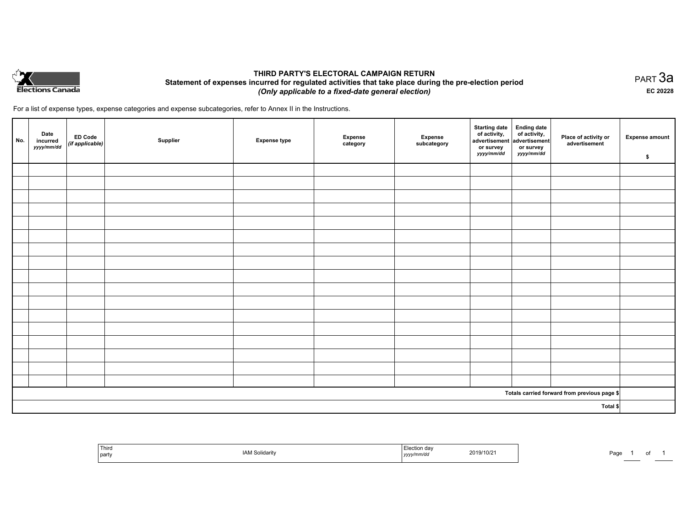

## **THIRD PARTY'S ELECTORAL CAMPAIGN RETURN Statement of expenses incurred for regulated activities that take place during the pre-election period**  *(Only applicable to a fixed-date general election)*

For a list of expense types, expense categories and expense subcategories, refer to Annex II in the Instructions.

| No.      | Date<br>incurred<br>yyyy/mm/dd | <b>ED Code</b><br>(if applicable) | Supplier | <b>Expense type</b> | <b>Expense</b><br>category | Expense<br>subcategory | Starting date<br>of activity,<br>advertisement<br>or survey<br>yyyy/mm/dd | Ending date<br>of activity,<br>advertisement<br>or survey<br>yyyy/mm/dd | Place of activity or<br>advertisement        | <b>Expense amount</b><br>\$ |
|----------|--------------------------------|-----------------------------------|----------|---------------------|----------------------------|------------------------|---------------------------------------------------------------------------|-------------------------------------------------------------------------|----------------------------------------------|-----------------------------|
|          |                                |                                   |          |                     |                            |                        |                                                                           |                                                                         |                                              |                             |
|          |                                |                                   |          |                     |                            |                        |                                                                           |                                                                         |                                              |                             |
|          |                                |                                   |          |                     |                            |                        |                                                                           |                                                                         |                                              |                             |
|          |                                |                                   |          |                     |                            |                        |                                                                           |                                                                         |                                              |                             |
|          |                                |                                   |          |                     |                            |                        |                                                                           |                                                                         |                                              |                             |
|          |                                |                                   |          |                     |                            |                        |                                                                           |                                                                         |                                              |                             |
|          |                                |                                   |          |                     |                            |                        |                                                                           |                                                                         |                                              |                             |
|          |                                |                                   |          |                     |                            |                        |                                                                           |                                                                         |                                              |                             |
|          |                                |                                   |          |                     |                            |                        |                                                                           |                                                                         |                                              |                             |
|          |                                |                                   |          |                     |                            |                        |                                                                           |                                                                         |                                              |                             |
|          |                                |                                   |          |                     |                            |                        |                                                                           |                                                                         |                                              |                             |
|          |                                |                                   |          |                     |                            |                        |                                                                           |                                                                         |                                              |                             |
|          |                                |                                   |          |                     |                            |                        |                                                                           |                                                                         |                                              |                             |
|          |                                |                                   |          |                     |                            |                        |                                                                           |                                                                         |                                              |                             |
|          |                                |                                   |          |                     |                            |                        |                                                                           |                                                                         |                                              |                             |
|          |                                |                                   |          |                     |                            |                        |                                                                           |                                                                         |                                              |                             |
|          |                                |                                   |          |                     |                            |                        |                                                                           |                                                                         |                                              |                             |
|          |                                |                                   |          |                     |                            |                        |                                                                           |                                                                         | Totals carried forward from previous page \$ |                             |
| Total \$ |                                |                                   |          |                     |                            |                        |                                                                           |                                                                         |                                              |                             |

| Third<br>party | Solidarity | 2019/10/21<br>.<br>yyyymmvuu | Page |
|----------------|------------|------------------------------|------|
|----------------|------------|------------------------------|------|

PART 3a **EC 20228**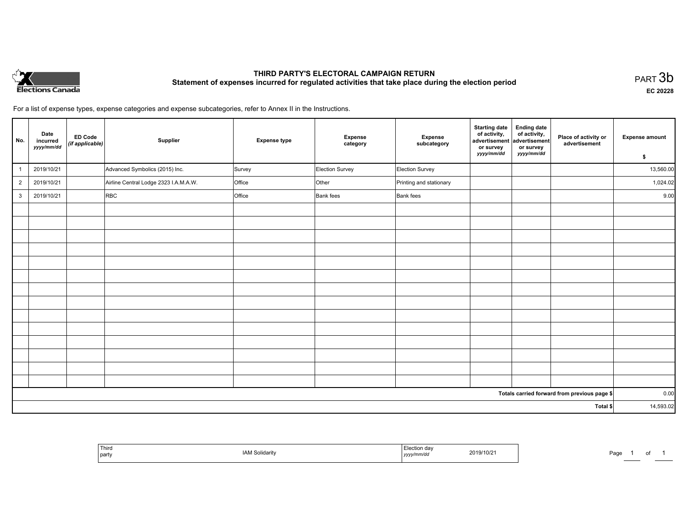

# **THIRD PARTY'S ELECTORAL CAMPAIGN RETURN Statement of expenses incurred for regulated activities that take place during the election period**<br>PART  $3\mathsf{b}$

**EC 20228**

of 1

For a list of expense types, expense categories and expense subcategories, refer to Annex II in the Instructions.

| No.            | Date<br>incurred<br>yyyy/mm/dd | <b>ED Code</b><br>(if applicable) | Supplier                              | <b>Expense type</b> | Expense<br>category | Expense<br>subcategory  | <b>Starting date</b><br>of activity,<br>advertisement<br>or survey | <b>Ending date</b><br>of activity,<br>advertisement<br>or survey | Place of activity or<br>advertisement        | <b>Expense amount</b> |
|----------------|--------------------------------|-----------------------------------|---------------------------------------|---------------------|---------------------|-------------------------|--------------------------------------------------------------------|------------------------------------------------------------------|----------------------------------------------|-----------------------|
|                |                                |                                   |                                       |                     |                     |                         | yyyy/mm/dd                                                         | yyyy/mm/dd                                                       |                                              | \$                    |
|                | 2019/10/21                     |                                   | Advanced Symbolics (2015) Inc.        | Survey              | Election Survey     | Election Survey         |                                                                    |                                                                  |                                              | 13,560.00             |
| $\overline{2}$ | 2019/10/21                     |                                   | Airline Central Lodge 2323 I.A.M.A.W. | Office              | Other               | Printing and stationary |                                                                    |                                                                  |                                              | 1,024.02              |
| 3              | 2019/10/21                     |                                   | <b>RBC</b>                            | Office              | Bank fees           | <b>Bank</b> fees        |                                                                    |                                                                  |                                              | 9.00                  |
|                |                                |                                   |                                       |                     |                     |                         |                                                                    |                                                                  |                                              |                       |
|                |                                |                                   |                                       |                     |                     |                         |                                                                    |                                                                  |                                              |                       |
|                |                                |                                   |                                       |                     |                     |                         |                                                                    |                                                                  |                                              |                       |
|                |                                |                                   |                                       |                     |                     |                         |                                                                    |                                                                  |                                              |                       |
|                |                                |                                   |                                       |                     |                     |                         |                                                                    |                                                                  |                                              |                       |
|                |                                |                                   |                                       |                     |                     |                         |                                                                    |                                                                  |                                              |                       |
|                |                                |                                   |                                       |                     |                     |                         |                                                                    |                                                                  |                                              |                       |
|                |                                |                                   |                                       |                     |                     |                         |                                                                    |                                                                  |                                              |                       |
|                |                                |                                   |                                       |                     |                     |                         |                                                                    |                                                                  |                                              |                       |
|                |                                |                                   |                                       |                     |                     |                         |                                                                    |                                                                  |                                              |                       |
|                |                                |                                   |                                       |                     |                     |                         |                                                                    |                                                                  |                                              |                       |
|                |                                |                                   |                                       |                     |                     |                         |                                                                    |                                                                  |                                              |                       |
|                |                                |                                   |                                       |                     |                     |                         |                                                                    |                                                                  |                                              |                       |
|                |                                |                                   |                                       |                     |                     |                         |                                                                    |                                                                  |                                              |                       |
|                |                                |                                   |                                       |                     |                     |                         |                                                                    |                                                                  | Totals carried forward from previous page \$ | 0.00                  |
|                |                                |                                   |                                       |                     |                     |                         |                                                                    |                                                                  | Total \$                                     | 14,593.02             |
|                |                                |                                   |                                       |                     |                     |                         |                                                                    |                                                                  |                                              |                       |

| Election day<br>Third<br>2019/10/21<br>AM Solidarity<br>Page<br>yyyy/mm/dd<br>party<br>$\overbrace{\hspace{25mm}}^{}$ |
|-----------------------------------------------------------------------------------------------------------------------|
|-----------------------------------------------------------------------------------------------------------------------|